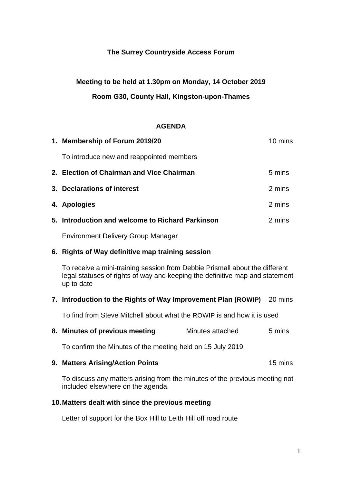## **The Surrey Countryside Access Forum**

# **Meeting to be held at 1.30pm on Monday, 14 October 2019 Room G30, County Hall, Kingston-upon-Thames**

### **AGENDA**

| 1. Membership of Forum 2019/20                   | 10 mins |
|--------------------------------------------------|---------|
| To introduce new and reappointed members         |         |
| 2. Election of Chairman and Vice Chairman        | 5 mins  |
| 3. Declarations of interest                      | 2 mins  |
| 4. Apologies                                     | 2 mins  |
| 5. Introduction and welcome to Richard Parkinson | 2 mins  |
| <b>Environment Delivery Group Manager</b>        |         |

## **6. Rights of Way definitive map training session**

To receive a mini-training session from Debbie Prismall about the different legal statuses of rights of way and keeping the definitive map and statement up to date

## **7. Introduction to the Rights of Way Improvement Plan (ROWIP)** 20 mins

To find from Steve Mitchell about what the ROWIP is and how it is used

**8. Minutes of previous meeting** Minutes attached 5 mins

To confirm the Minutes of the meeting held on 15 July 2019

#### **9. Matters Arising/Action Points** 15 mins

To discuss any matters arising from the minutes of the previous meeting not included elsewhere on the agenda.

#### **10.Matters dealt with since the previous meeting**

Letter of support for the Box Hill to Leith Hill off road route